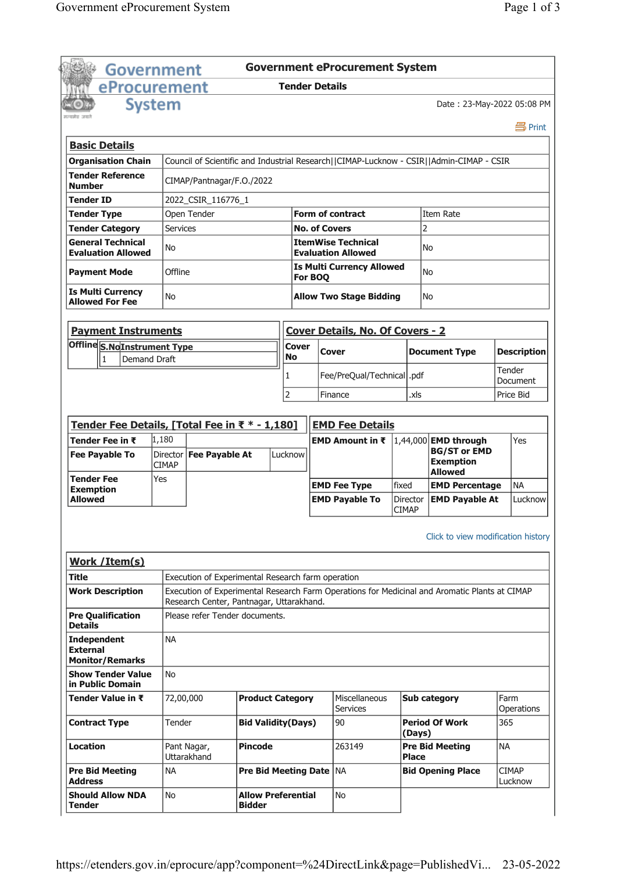|                                                                                                                                                                                                                                                   | <b>Government</b>                 |                                                                            |                |                             |                      | <b>Government eProcurement System</b>        |                            |                                                                                               |           |                                    |
|---------------------------------------------------------------------------------------------------------------------------------------------------------------------------------------------------------------------------------------------------|-----------------------------------|----------------------------------------------------------------------------|----------------|-----------------------------|----------------------|----------------------------------------------|----------------------------|-----------------------------------------------------------------------------------------------|-----------|------------------------------------|
| eProcurement                                                                                                                                                                                                                                      |                                   |                                                                            |                | <b>Tender Details</b>       |                      |                                              |                            |                                                                                               |           |                                    |
|                                                                                                                                                                                                                                                   | <b>System</b>                     |                                                                            |                |                             |                      |                                              |                            | Date: 23-May-2022 05:08 PM                                                                    |           |                                    |
|                                                                                                                                                                                                                                                   |                                   |                                                                            |                |                             |                      |                                              |                            |                                                                                               |           | 昌 Print                            |
| <b>Basic Details</b>                                                                                                                                                                                                                              |                                   |                                                                            |                |                             |                      |                                              |                            |                                                                                               |           |                                    |
| <b>Organisation Chain</b>                                                                                                                                                                                                                         |                                   |                                                                            |                |                             |                      |                                              |                            | Council of Scientific and Industrial Research  CIMAP-Lucknow - CSIR  Admin-CIMAP - CSIR       |           |                                    |
| <b>Tender Reference</b>                                                                                                                                                                                                                           |                                   |                                                                            |                |                             |                      |                                              |                            |                                                                                               |           |                                    |
| <b>Number</b>                                                                                                                                                                                                                                     |                                   | CIMAP/Pantnagar/F.O./2022                                                  |                |                             |                      |                                              |                            |                                                                                               |           |                                    |
| <b>Tender ID</b>                                                                                                                                                                                                                                  |                                   | 2022 CSIR 116776 1                                                         |                |                             |                      |                                              |                            |                                                                                               |           |                                    |
| <b>Tender Type</b>                                                                                                                                                                                                                                |                                   | Open Tender                                                                |                |                             |                      | <b>Form of contract</b>                      |                            | Item Rate                                                                                     |           |                                    |
| <b>Tender Category</b><br><b>General Technical</b>                                                                                                                                                                                                | <b>Services</b>                   |                                                                            |                |                             | <b>No. of Covers</b> | <b>ItemWise Technical</b>                    |                            | $\overline{c}$                                                                                |           |                                    |
| <b>Evaluation Allowed</b>                                                                                                                                                                                                                         | No                                |                                                                            |                |                             |                      | <b>Evaluation Allowed</b>                    |                            | N <sub>o</sub>                                                                                |           |                                    |
| <b>Payment Mode</b>                                                                                                                                                                                                                               | Offline                           |                                                                            |                |                             | For BOQ              | <b>Is Multi Currency Allowed</b>             |                            | N <sub>o</sub>                                                                                |           |                                    |
| <b>Is Multi Currency</b><br><b>Allowed For Fee</b>                                                                                                                                                                                                | No                                |                                                                            |                |                             |                      | <b>Allow Two Stage Bidding</b>               |                            | No                                                                                            |           |                                    |
| <b>Payment Instruments</b>                                                                                                                                                                                                                        |                                   |                                                                            |                |                             |                      | <b>Cover Details, No. Of Covers - 2</b>      |                            |                                                                                               |           |                                    |
| Offline S.NoInstrument Type                                                                                                                                                                                                                       |                                   |                                                                            |                | Cover                       |                      | Cover                                        |                            | <b>Document Type</b>                                                                          |           | <b>Description</b>                 |
| $\mathbf{1}$<br>Demand Draft                                                                                                                                                                                                                      |                                   |                                                                            |                | <b>No</b>                   |                      |                                              |                            |                                                                                               |           |                                    |
|                                                                                                                                                                                                                                                   |                                   |                                                                            |                | 1                           |                      | Fee/PreQual/Technical  .pdf                  |                            |                                                                                               | Tender    | Document                           |
|                                                                                                                                                                                                                                                   |                                   |                                                                            |                | 2                           |                      | Finance                                      | .xls                       |                                                                                               |           | Price Bid                          |
|                                                                                                                                                                                                                                                   |                                   |                                                                            |                |                             |                      |                                              |                            |                                                                                               |           |                                    |
| Tender Fee Details, [Total Fee in ₹ * - 1,180]                                                                                                                                                                                                    |                                   |                                                                            |                |                             |                      | <b>EMD Fee Details</b>                       |                            |                                                                                               |           |                                    |
| Tender Fee in ₹<br><b>Fee Payable To</b>                                                                                                                                                                                                          | 1,180<br>Director<br><b>CIMAP</b> | <b>Fee Payable At</b>                                                      |                | Lucknow                     |                      | EMD Amount in ₹                              |                            | 1,44,000 EMD through<br><b>BG/ST or EMD</b><br><b>Exemption</b>                               |           | <b>Yes</b>                         |
| <b>Tender Fee</b>                                                                                                                                                                                                                                 | Yes                               |                                                                            |                |                             |                      |                                              |                            | <b>Allowed</b>                                                                                |           |                                    |
| <b>Exemption</b><br><b>Allowed</b>                                                                                                                                                                                                                |                                   |                                                                            |                |                             |                      |                                              |                            |                                                                                               |           |                                    |
|                                                                                                                                                                                                                                                   |                                   |                                                                            |                |                             |                      | <b>EMD Fee Type</b><br><b>EMD Payable To</b> | fixed<br>Director<br>CIMAP | <b>EMD Percentage</b><br><b>EMD Payable At</b>                                                |           | <b>NA</b>                          |
|                                                                                                                                                                                                                                                   |                                   |                                                                            |                |                             |                      |                                              |                            | Click to view modification history                                                            |           |                                    |
|                                                                                                                                                                                                                                                   |                                   | Execution of Experimental Research farm operation                          |                |                             |                      |                                              |                            |                                                                                               |           |                                    |
|                                                                                                                                                                                                                                                   |                                   |                                                                            |                |                             |                      |                                              |                            | Execution of Experimental Research Farm Operations for Medicinal and Aromatic Plants at CIMAP |           |                                    |
|                                                                                                                                                                                                                                                   |                                   | Research Center, Pantnagar, Uttarakhand.<br>Please refer Tender documents. |                |                             |                      |                                              |                            |                                                                                               |           |                                    |
| <b>Work / Item(s)</b><br>Title                                                                                                                                                                                                                    | <b>NA</b>                         |                                                                            |                |                             |                      |                                              |                            |                                                                                               |           |                                    |
|                                                                                                                                                                                                                                                   | No                                |                                                                            |                |                             |                      |                                              |                            |                                                                                               |           |                                    |
|                                                                                                                                                                                                                                                   | 72,00,000                         |                                                                            |                | <b>Product Category</b>     |                      | Miscellaneous<br>Services                    |                            | <b>Sub category</b>                                                                           | Farm      | Operations                         |
|                                                                                                                                                                                                                                                   | Tender                            |                                                                            |                | <b>Bid Validity(Days)</b>   |                      | 90                                           | (Days)                     | <b>Period Of Work</b>                                                                         | 365       |                                    |
| <b>Work Description</b><br><b>Pre Qualification</b><br><b>Details</b><br><b>Independent</b><br><b>External</b><br><b>Monitor/Remarks</b><br><b>Show Tender Value</b><br>in Public Domain<br>Tender Value in ₹<br><b>Contract Type</b><br>Location |                                   | Pant Nagar,<br>Uttarakhand                                                 | <b>Pincode</b> |                             |                      | 263149                                       | <b>Place</b>               | <b>Pre Bid Meeting</b>                                                                        | <b>NA</b> |                                    |
| <b>Pre Bid Meeting</b><br>Address                                                                                                                                                                                                                 | <b>NA</b>                         |                                                                            |                | <b>Pre Bid Meeting Date</b> |                      | <b>INA</b>                                   |                            | <b>Bid Opening Place</b>                                                                      |           | Lucknow<br><b>CIMAP</b><br>Lucknow |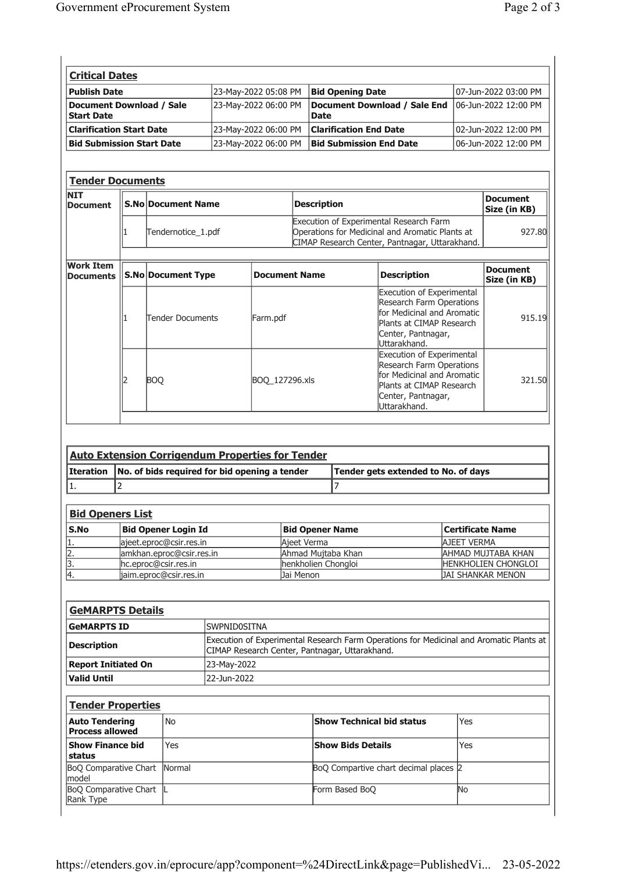| <b>Critical Dates</b>                         |                      |                                      |                      |
|-----------------------------------------------|----------------------|--------------------------------------|----------------------|
| <b>Publish Date</b>                           | 23-May-2022 05:08 PM | <b>Bid Opening Date</b>              | 07-Jun-2022 03:00 PM |
| Document Download / Sale<br><b>Start Date</b> | 23-May-2022 06:00 PM | Document Download / Sale End<br>Date | 06-Jun-2022 12:00 PM |
| Clarification Start Date                      | 23-May-2022 06:00 PM | <b>Clarification End Date</b>        | 02-Jun-2022 12:00 PM |
| <b>Bid Submission Start Date</b>              | 23-Mav-2022 06:00 PM | <b>Bid Submission End Date</b>       | 06-Jun-2022 12:00 PM |

| <b>Tender Documents</b>              |                           |                      |                    |                                                                                                                                              |                                 |
|--------------------------------------|---------------------------|----------------------|--------------------|----------------------------------------------------------------------------------------------------------------------------------------------|---------------------------------|
| <b>NIT</b><br><b>Document</b>        | <b>S.No Document Name</b> |                      | <b>Description</b> |                                                                                                                                              | <b>Document</b><br>Size (in KB) |
|                                      | Tendernotice_1.pdf        |                      |                    | Execution of Experimental Research Farm<br>Operations for Medicinal and Aromatic Plants at<br>CIMAP Research Center, Pantnagar, Uttarakhand. | 927.80                          |
| <b>Work Item</b><br><b>Documents</b> | <b>S.No Document Type</b> | <b>Document Name</b> |                    | <b>Description</b>                                                                                                                           | <b>Document</b><br>Size (in KB) |
|                                      | <b>Tender Documents</b>   | Farm.pdf             |                    | <b>Execution of Experimental</b><br>Research Farm Operations<br>for Medicinal and Aromatic<br>Plants at CIMAP Research                       | 915.19                          |

|  | Tender Documents | Farm.bdf       | Plants at CIMAP Research<br>Center, Pantnagar,<br>Uttarakhand.                                                                                               | 915.IY |
|--|------------------|----------------|--------------------------------------------------------------------------------------------------------------------------------------------------------------|--------|
|  | <b>BOO</b>       | BOO 127296.xls | <b>Execution of Experimental</b><br>Research Farm Operations<br>for Medicinal and Aromatic<br>Plants at CIMAP Research<br>Center, Pantnagar,<br>Uttarakhand. | 321.50 |

| <b>Auto Extension Corrigendum Properties for Tender</b> |                                                           |                                     |  |
|---------------------------------------------------------|-----------------------------------------------------------|-------------------------------------|--|
|                                                         | Iteration   No. of bids required for bid opening a tender | Tender gets extended to No. of days |  |
|                                                         |                                                           |                                     |  |

|        | <u>Bid Openers List</u>    |                        |                            |  |  |
|--------|----------------------------|------------------------|----------------------------|--|--|
| l S.No | <b>Bid Opener Login Id</b> | <b>Bid Opener Name</b> | Certificate Name           |  |  |
|        | lajeet.eproc@csir.res.in   | Aieet Verma            | <b>AJEET VERMA</b>         |  |  |
|        | amkhan.eproc@csir.res.in   | Ahmad Mujtaba Khan     | AHMAD MUJTABA KHAN         |  |  |
|        | hc.eproc@csir.res.in       | henkholien Chongloi    | <b>HENKHOLIEN CHONGLOI</b> |  |  |
| 14.    | jaim.eproc@csir.res.in     | Jai Menon              | <b>JAI SHANKAR MENON</b>   |  |  |

| <b>GeMARPTS Details</b> |                                                                                                                                             |
|-------------------------|---------------------------------------------------------------------------------------------------------------------------------------------|
| <b>GeMARPTS ID</b>      | ISWPNID0SITNA                                                                                                                               |
| <b>Description</b>      | Execution of Experimental Research Farm Operations for Medicinal and Aromatic Plants at  <br>CIMAP Research Center, Pantnagar, Uttarakhand. |
| Report Initiated On     | 23-Mav-2022                                                                                                                                 |
| Valid Until             | 22-Jun-2022                                                                                                                                 |

| <b>Tender Properties</b>                        |     |                                       |     |
|-------------------------------------------------|-----|---------------------------------------|-----|
| <b>Auto Tendering</b><br><b>Process allowed</b> | No  | <b>Show Technical bid status</b>      | Yes |
| <b>Show Finance bid</b><br>status               | Yes | <b>Show Bids Details</b>              | Yes |
| <b>BoO Comparative Chart Normal</b><br>Imodel   |     | BoQ Compartive chart decimal places 2 |     |
| BoQ Comparative Chart<br>Rank Type              |     | Form Based BoO                        | No  |